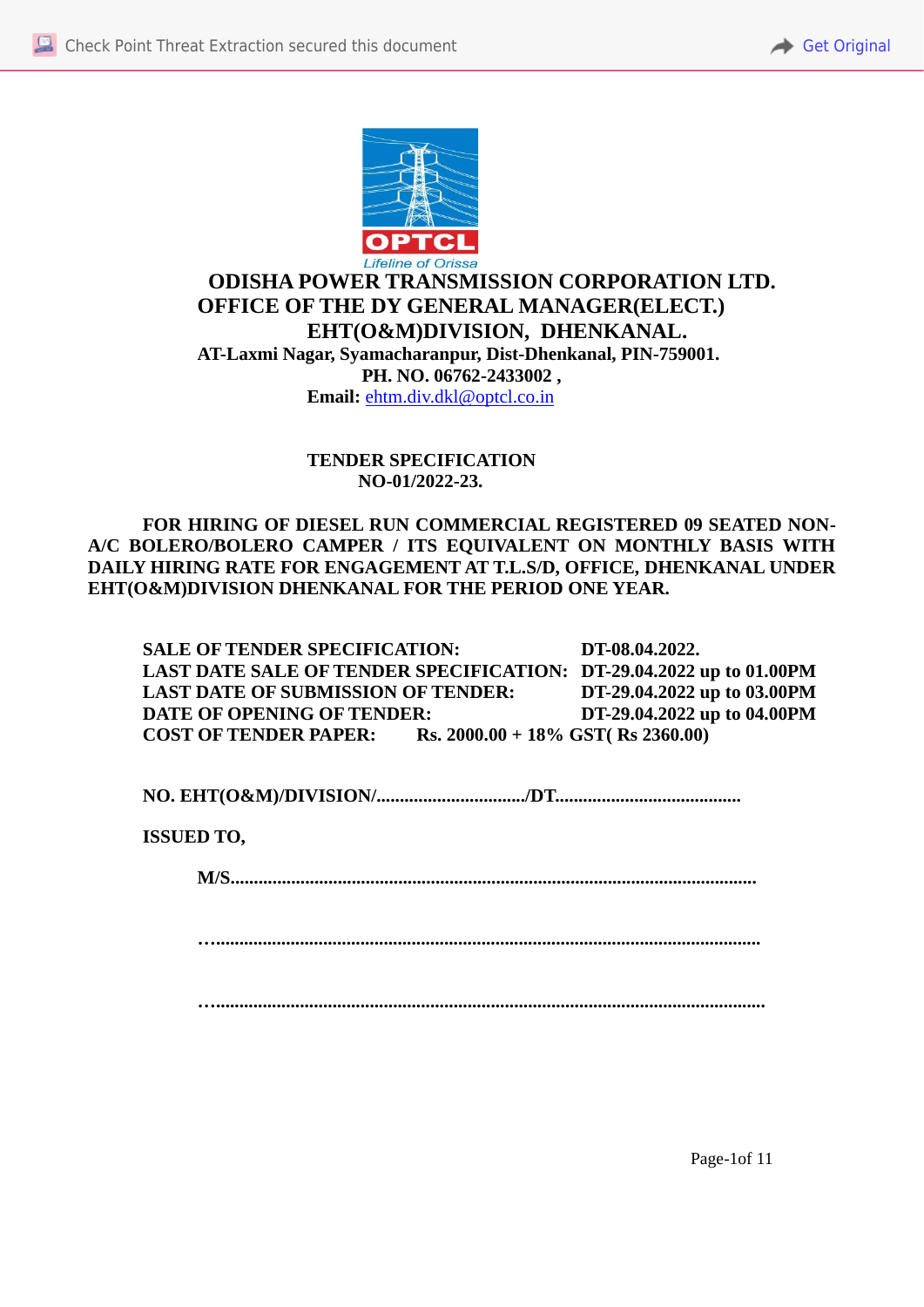



# **ODISHA POWER TRANSMISSION CORPORATION LTD. OFFICE OF THE DY GENERAL MANAGER(ELECT.) EHT(O&M)DIVISION, DHENKANAL. AT-Laxmi Nagar, Syamacharanpur, Dist-Dhenkanal, PIN-759001. PH. NO. 06762-2433002 , Email:** ehtm.div.dkl@optcl.co.in

**TENDER SPECIFICATION NO-01/2022-23.** 

**FOR HIRING OF DIESEL RUN COMMERCIAL REGISTERED 09 SEATED NON-A/C BOLERO/BOLERO CAMPER / ITS EQUIVALENT ON MONTHLY BASIS WITH DAILY HIRING RATE FOR ENGAGEMENT AT T.L.S/D, OFFICE, DHENKANAL UNDER EHT(O&M)DIVISION DHENKANAL FOR THE PERIOD ONE YEAR.**

**SALE OF TENDER SPECIFICATION: DT-08.04.2022. LAST DATE SALE OF TENDER SPECIFICATION: DT-29.04.2022 up to 01.00PM LAST DATE OF SUBMISSION OF TENDER: DT-29.04.2022 up to 03.00PM DATE OF OPENING OF TENDER: DT-29.04.2022 up to 04.00PM COST OF TENDER PAPER: Rs. 2000.00 + 18% GST( Rs 2360.00)**

**NO. EHT(O&M)/DIVISION/................................/DT........................................**

**ISSUED TO,**

**M/S...........................** 

**….....................................................................................................................**

**…......................................................................................................................**

Page-1of 11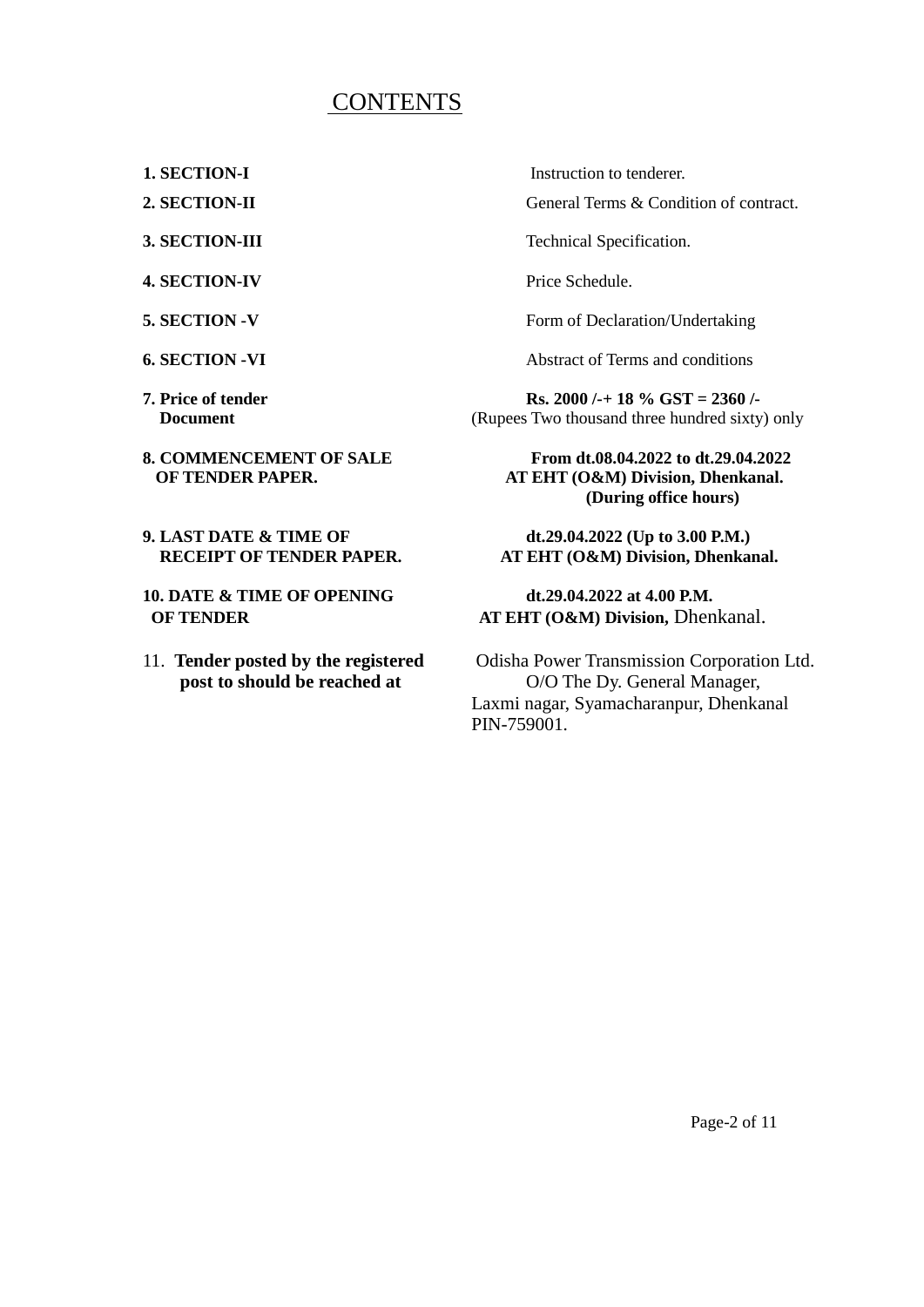# CONTENTS

- 
- 
- 
- **4. SECTION-IV** Price Schedule.
- 
- 
- 
- 
- **9. LAST DATE & TIME OF dt.29.04.2022 (Up to 3.00 P.M.)**<br>RECEIPT OF TENDER PAPER. AT EHT (O&M) Division, Dhenkan
- **10. DATE & TIME OF OPENING dt.29.04.2022 at 4.00 P.M.**
- 

**1. SECTION-I** Instruction to tenderer.

**2. SECTION-II General Terms & Condition of contract.** 

**3. SECTION-III** Technical Specification.

**5. SECTION -V** Form of Declaration/Undertaking

**6. SECTION -VI Abstract of Terms and conditions** 

**7. Price of tender Rs. 2000 /-+ 18 % GST = 2360 /-Document** (Rupees Two thousand three hundred sixty) only

**8. COMMENCEMENT OF SALE From dt.08.04.2022 to dt.29.04.2022 OF TENDER PAPER. AT EHT (O&M) Division, Dhenkanal. (During office hours)**

**AT EHT (O&M) Division, Dhenkanal.** 

# **OF TENDER AT EHT (O&M) Division, Dhenkanal.**

11. **Tender posted by the registered** Odisha Power Transmission Corporation Ltd. **post to should be reached at** O/O The Dy. General Manager, Laxmi nagar, Syamacharanpur, Dhenkanal PIN-759001.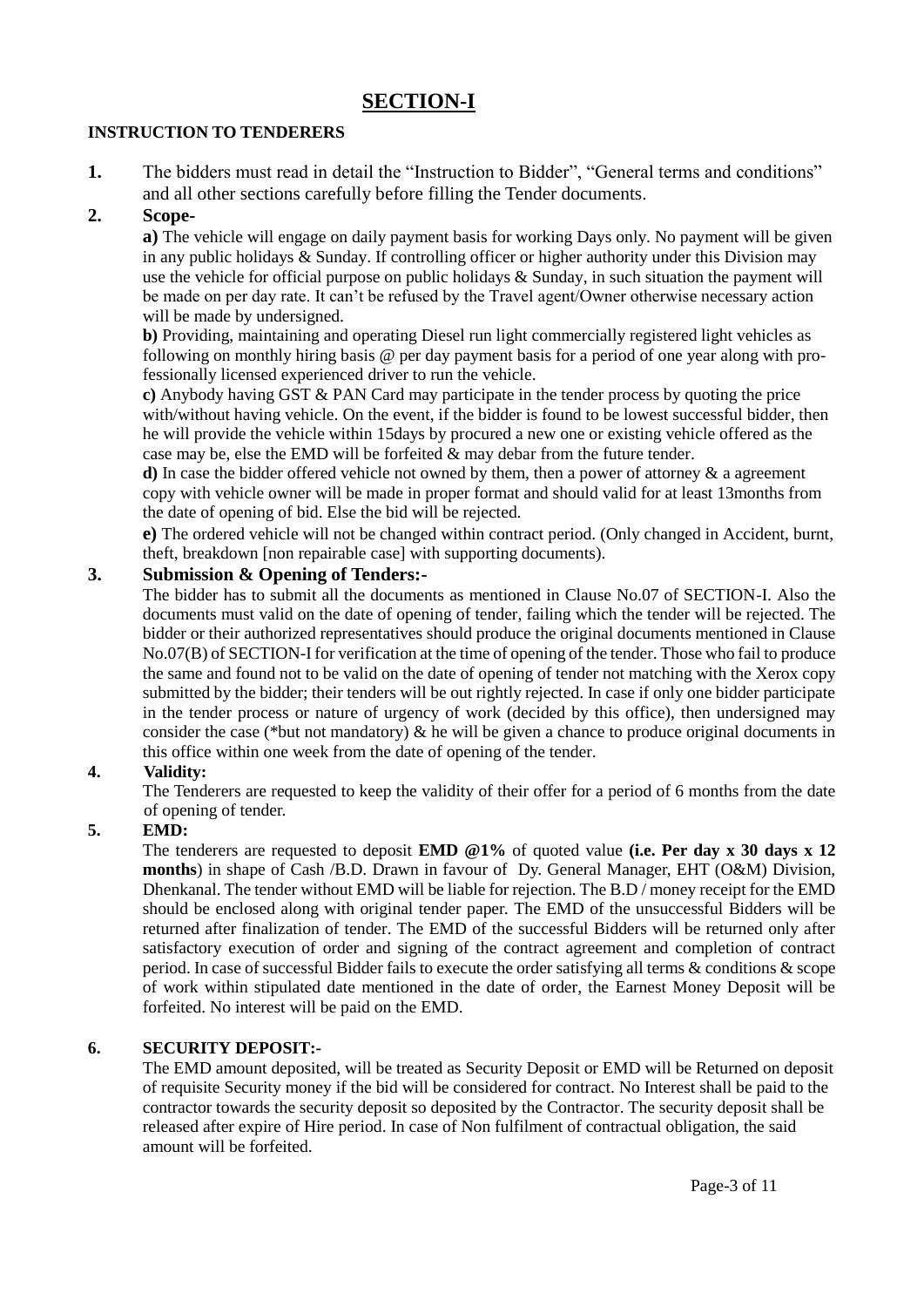## **SECTION-I**

#### **INSTRUCTION TO TENDERERS**

**1.** The bidders must read in detail the "Instruction to Bidder", "General terms and conditions" and all other sections carefully before filling the Tender documents.

## **2. Scope-**

**a)** The vehicle will engage on daily payment basis for working Days only. No payment will be given in any public holidays & Sunday. If controlling officer or higher authority under this Division may use the vehicle for official purpose on public holidays  $\&$  Sunday, in such situation the payment will be made on per day rate. It can't be refused by the Travel agent/Owner otherwise necessary action will be made by undersigned.

**b)** Providing, maintaining and operating Diesel run light commercially registered light vehicles as following on monthly hiring basis @ per day payment basis for a period of one year along with professionally licensed experienced driver to run the vehicle.

**c)** Anybody having GST & PAN Card may participate in the tender process by quoting the price with/without having vehicle. On the event, if the bidder is found to be lowest successful bidder, then he will provide the vehicle within 15days by procured a new one or existing vehicle offered as the case may be, else the EMD will be forfeited  $\&$  may debar from the future tender.

**d)** In case the bidder offered vehicle not owned by them, then a power of attorney & a agreement copy with vehicle owner will be made in proper format and should valid for at least 13months from the date of opening of bid. Else the bid will be rejected.

**e)** The ordered vehicle will not be changed within contract period. (Only changed in Accident, burnt, theft, breakdown [non repairable case] with supporting documents).

#### **3. Submission & Opening of Tenders:-**

The bidder has to submit all the documents as mentioned in Clause No.07 of SECTION-I. Also the documents must valid on the date of opening of tender, failing which the tender will be rejected. The bidder or their authorized representatives should produce the original documents mentioned in Clause No.07(B) of SECTION-I for verification at the time of opening of the tender. Those who fail to produce the same and found not to be valid on the date of opening of tender not matching with the Xerox copy submitted by the bidder; their tenders will be out rightly rejected. In case if only one bidder participate in the tender process or nature of urgency of work (decided by this office), then undersigned may consider the case (\*but not mandatory)  $\&$  he will be given a chance to produce original documents in this office within one week from the date of opening of the tender.

#### **4. Validity:**

The Tenderers are requested to keep the validity of their offer for a period of 6 months from the date of opening of tender.

#### **5. EMD:**

The tenderers are requested to deposit **EMD @1%** of quoted value **(i.e. Per day x 30 days x 12 months**) in shape of Cash /B.D. Drawn in favour of Dy. General Manager, EHT (O&M) Division, Dhenkanal. The tender without EMD will be liable for rejection. The B.D / money receipt for the EMD should be enclosed along with original tender paper. The EMD of the unsuccessful Bidders will be returned after finalization of tender. The EMD of the successful Bidders will be returned only after satisfactory execution of order and signing of the contract agreement and completion of contract period. In case of successful Bidder fails to execute the order satisfying all terms & conditions & scope of work within stipulated date mentioned in the date of order, the Earnest Money Deposit will be forfeited. No interest will be paid on the EMD.

#### **6. SECURITY DEPOSIT:-**

The EMD amount deposited, will be treated as Security Deposit or EMD will be Returned on deposit of requisite Security money if the bid will be considered for contract. No Interest shall be paid to the contractor towards the security deposit so deposited by the Contractor. The security deposit shall be released after expire of Hire period. In case of Non fulfilment of contractual obligation, the said amount will be forfeited.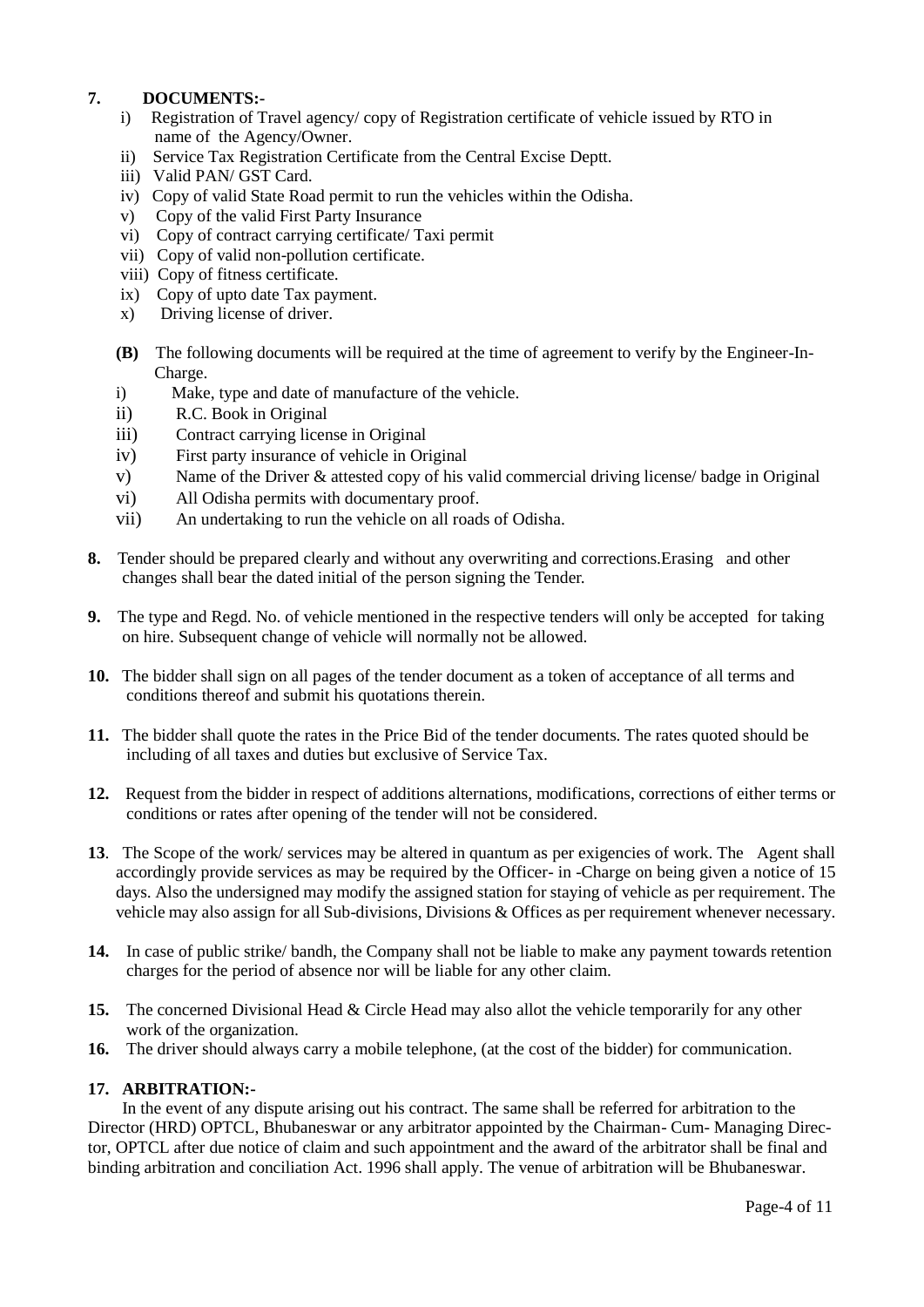#### **7. DOCUMENTS:-**

- i) Registration of Travel agency/ copy of Registration certificate of vehicle issued by RTO in name of the Agency/Owner.
- ii) Service Tax Registration Certificate from the Central Excise Deptt.
- iii) Valid PAN/ GST Card.
- iv) Copy of valid State Road permit to run the vehicles within the Odisha.
- v) Copy of the valid First Party Insurance
- vi) Copy of contract carrying certificate/ Taxi permit
- vii) Copy of valid non-pollution certificate.
- viii) Copy of fitness certificate.
- ix) Copy of upto date Tax payment.
- x) Driving license of driver.
- **(B)** The following documents will be required at the time of agreement to verify by the Engineer-In- Charge.
- i) Make, type and date of manufacture of the vehicle.
- ii) R.C. Book in Original
- iii) Contract carrying license in Original
- iv) First party insurance of vehicle in Original
- v) Name of the Driver & attested copy of his valid commercial driving license/ badge in Original
- vi) All Odisha permits with documentary proof.
- vii) An undertaking to run the vehicle on all roads of Odisha.
- **8.** Tender should be prepared clearly and without any overwriting and corrections.Erasing and other changes shall bear the dated initial of the person signing the Tender.
- **9.** The type and Regd. No. of vehicle mentioned in the respective tenders will only be accepted for taking on hire. Subsequent change of vehicle will normally not be allowed.
- **10.** The bidder shall sign on all pages of the tender document as a token of acceptance of all terms and conditions thereof and submit his quotations therein.
- **11.** The bidder shall quote the rates in the Price Bid of the tender documents. The rates quoted should be including of all taxes and duties but exclusive of Service Tax.
- **12.** Request from the bidder in respect of additions alternations, modifications, corrections of either terms or conditions or rates after opening of the tender will not be considered.
- **13**. The Scope of the work/ services may be altered in quantum as per exigencies of work. The Agent shall accordingly provide services as may be required by the Officer- in -Charge on being given a notice of 15 days. Also the undersigned may modify the assigned station for staying of vehicle as per requirement. The vehicle may also assign for all Sub-divisions, Divisions & Offices as per requirement whenever necessary.
- **14.** In case of public strike/ bandh, the Company shall not be liable to make any payment towards retention charges for the period of absence nor will be liable for any other claim.
- **15.** The concerned Divisional Head & Circle Head may also allot the vehicle temporarily for any other work of the organization.
- **16.** The driver should always carry a mobile telephone, (at the cost of the bidder) for communication.

#### **17. ARBITRATION:-**

In the event of any dispute arising out his contract. The same shall be referred for arbitration to the Director (HRD) OPTCL, Bhubaneswar or any arbitrator appointed by the Chairman- Cum- Managing Director, OPTCL after due notice of claim and such appointment and the award of the arbitrator shall be final and binding arbitration and conciliation Act. 1996 shall apply. The venue of arbitration will be Bhubaneswar.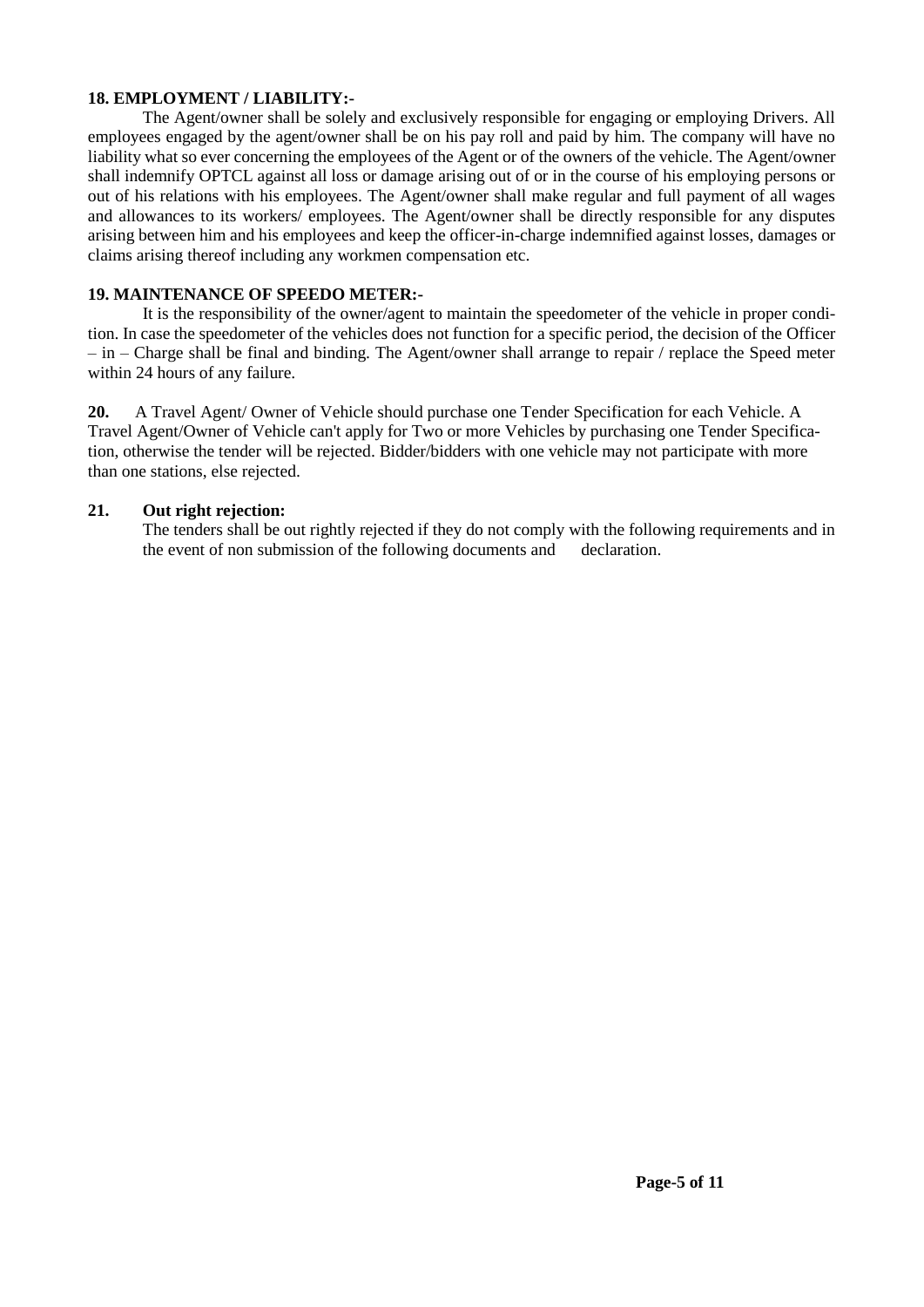#### **18. EMPLOYMENT / LIABILITY:-**

The Agent/owner shall be solely and exclusively responsible for engaging or employing Drivers. All employees engaged by the agent/owner shall be on his pay roll and paid by him. The company will have no liability what so ever concerning the employees of the Agent or of the owners of the vehicle. The Agent/owner shall indemnify OPTCL against all loss or damage arising out of or in the course of his employing persons or out of his relations with his employees. The Agent/owner shall make regular and full payment of all wages and allowances to its workers/ employees. The Agent/owner shall be directly responsible for any disputes arising between him and his employees and keep the officer-in-charge indemnified against losses, damages or claims arising thereof including any workmen compensation etc.

#### **19. MAINTENANCE OF SPEEDO METER:-**

It is the responsibility of the owner/agent to maintain the speedometer of the vehicle in proper condition. In case the speedometer of the vehicles does not function for a specific period, the decision of the Officer  $-\text{in}$  – Charge shall be final and binding. The Agent/owner shall arrange to repair / replace the Speed meter within 24 hours of any failure.

**20.** A Travel Agent/ Owner of Vehicle should purchase one Tender Specification for each Vehicle. A Travel Agent/Owner of Vehicle can't apply for Two or more Vehicles by purchasing one Tender Specification, otherwise the tender will be rejected. Bidder/bidders with one vehicle may not participate with more than one stations, else rejected.

#### **21. Out right rejection:**

The tenders shall be out rightly rejected if they do not comply with the following requirements and in the event of non submission of the following documents and declaration.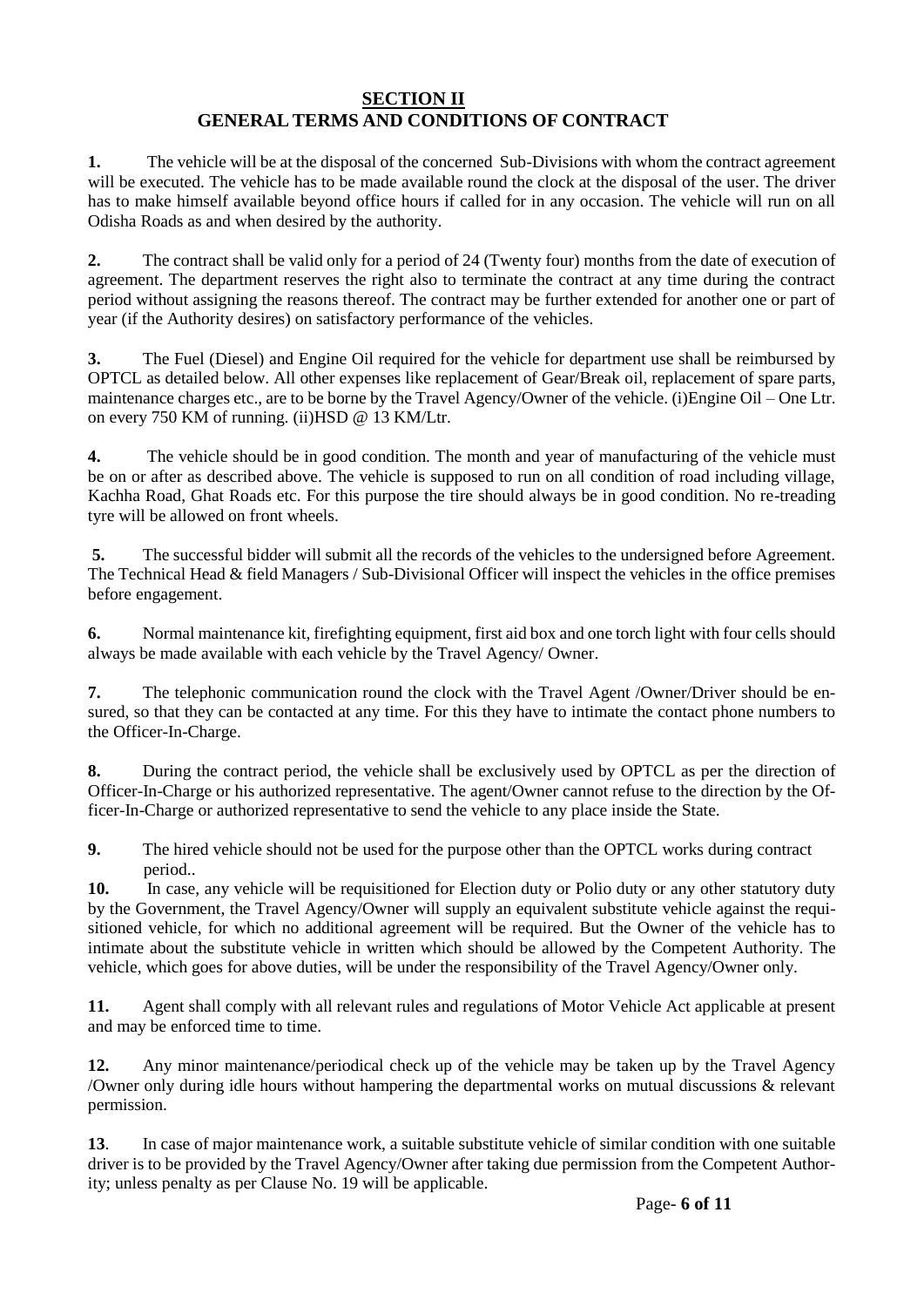### **SECTION II GENERAL TERMS AND CONDITIONS OF CONTRACT**

**1.** The vehicle will be at the disposal of the concerned Sub-Divisions with whom the contract agreement will be executed. The vehicle has to be made available round the clock at the disposal of the user. The driver has to make himself available beyond office hours if called for in any occasion. The vehicle will run on all Odisha Roads as and when desired by the authority.

**2.** The contract shall be valid only for a period of 24 (Twenty four) months from the date of execution of agreement. The department reserves the right also to terminate the contract at any time during the contract period without assigning the reasons thereof. The contract may be further extended for another one or part of year (if the Authority desires) on satisfactory performance of the vehicles.

**3.** The Fuel (Diesel) and Engine Oil required for the vehicle for department use shall be reimbursed by OPTCL as detailed below. All other expenses like replacement of Gear/Break oil, replacement of spare parts, maintenance charges etc., are to be borne by the Travel Agency/Owner of the vehicle. (i)Engine Oil – One Ltr. on every 750 KM of running. (ii)HSD @ 13 KM/Ltr.

**4.** The vehicle should be in good condition. The month and year of manufacturing of the vehicle must be on or after as described above. The vehicle is supposed to run on all condition of road including village, Kachha Road, Ghat Roads etc. For this purpose the tire should always be in good condition. No re-treading tyre will be allowed on front wheels.

**5.** The successful bidder will submit all the records of the vehicles to the undersigned before Agreement. The Technical Head & field Managers / Sub-Divisional Officer will inspect the vehicles in the office premises before engagement.

**6.** Normal maintenance kit, firefighting equipment, first aid box and one torch light with four cells should always be made available with each vehicle by the Travel Agency/ Owner.

**7.** The telephonic communication round the clock with the Travel Agent /Owner/Driver should be ensured, so that they can be contacted at any time. For this they have to intimate the contact phone numbers to the Officer-In-Charge.

**8.** During the contract period, the vehicle shall be exclusively used by OPTCL as per the direction of Officer-In-Charge or his authorized representative. The agent/Owner cannot refuse to the direction by the Officer-In-Charge or authorized representative to send the vehicle to any place inside the State.

**9.** The hired vehicle should not be used for the purpose other than the OPTCL works during contract period..

**10.** In case, any vehicle will be requisitioned for Election duty or Polio duty or any other statutory duty by the Government, the Travel Agency/Owner will supply an equivalent substitute vehicle against the requisitioned vehicle, for which no additional agreement will be required. But the Owner of the vehicle has to intimate about the substitute vehicle in written which should be allowed by the Competent Authority. The vehicle, which goes for above duties, will be under the responsibility of the Travel Agency/Owner only.

**11.** Agent shall comply with all relevant rules and regulations of Motor Vehicle Act applicable at present and may be enforced time to time.

**12.** Any minor maintenance/periodical check up of the vehicle may be taken up by the Travel Agency /Owner only during idle hours without hampering the departmental works on mutual discussions & relevant permission.

**13**. In case of major maintenance work, a suitable substitute vehicle of similar condition with one suitable driver is to be provided by the Travel Agency/Owner after taking due permission from the Competent Authority; unless penalty as per Clause No. 19 will be applicable.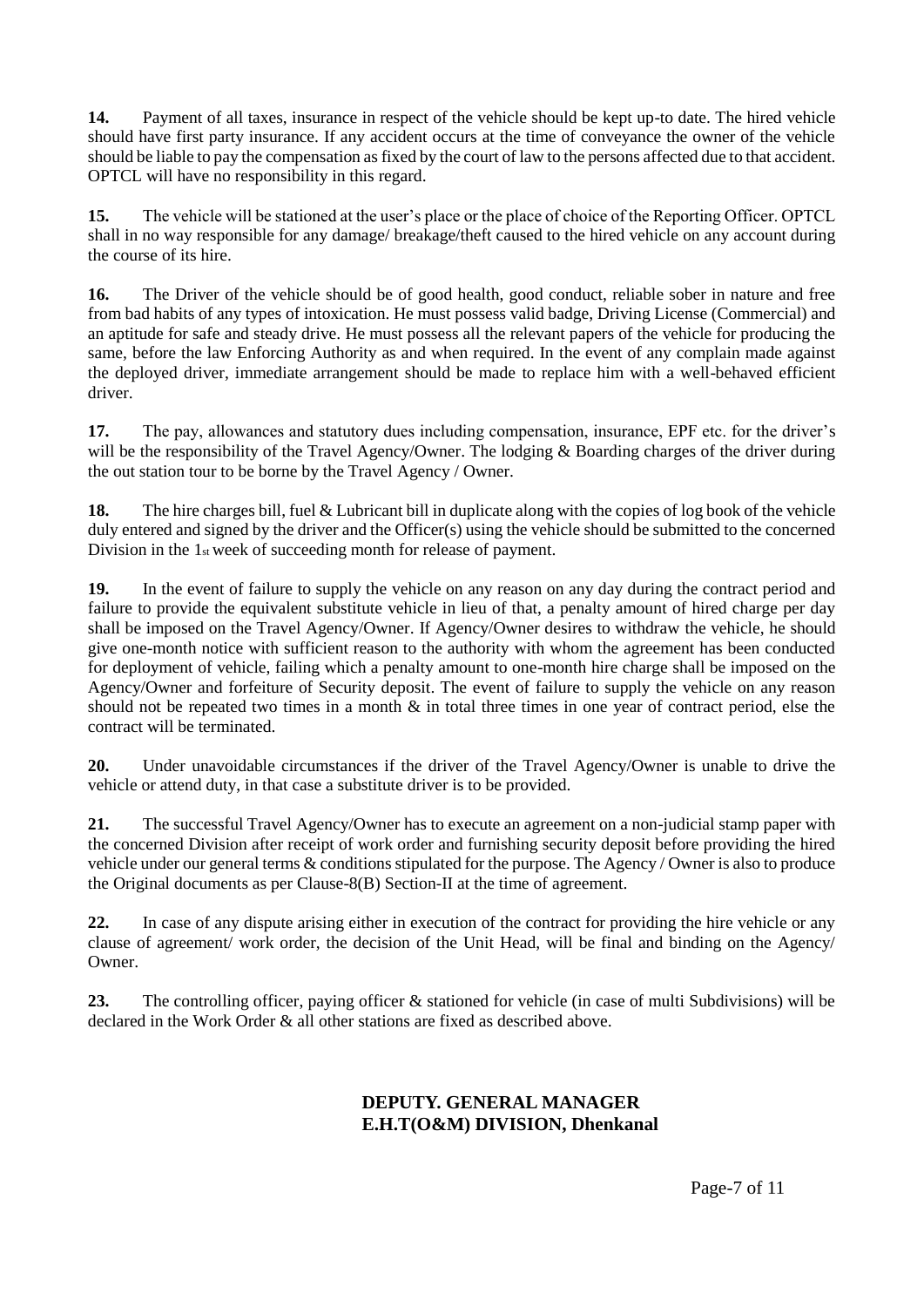**14.** Payment of all taxes, insurance in respect of the vehicle should be kept up-to date. The hired vehicle should have first party insurance. If any accident occurs at the time of conveyance the owner of the vehicle should be liable to pay the compensation as fixed by the court of law to the persons affected due to that accident. OPTCL will have no responsibility in this regard.

**15.** The vehicle will be stationed at the user's place or the place of choice of the Reporting Officer. OPTCL shall in no way responsible for any damage/ breakage/theft caused to the hired vehicle on any account during the course of its hire.

**16.** The Driver of the vehicle should be of good health, good conduct, reliable sober in nature and free from bad habits of any types of intoxication. He must possess valid badge, Driving License (Commercial) and an aptitude for safe and steady drive. He must possess all the relevant papers of the vehicle for producing the same, before the law Enforcing Authority as and when required. In the event of any complain made against the deployed driver, immediate arrangement should be made to replace him with a well-behaved efficient driver.

**17.** The pay, allowances and statutory dues including compensation, insurance, EPF etc. for the driver's will be the responsibility of the Travel Agency/Owner. The lodging & Boarding charges of the driver during the out station tour to be borne by the Travel Agency / Owner.

**18.** The hire charges bill, fuel & Lubricant bill in duplicate along with the copies of log book of the vehicle duly entered and signed by the driver and the Officer(s) using the vehicle should be submitted to the concerned Division in the 1st week of succeeding month for release of payment.

**19.** In the event of failure to supply the vehicle on any reason on any day during the contract period and failure to provide the equivalent substitute vehicle in lieu of that, a penalty amount of hired charge per day shall be imposed on the Travel Agency/Owner. If Agency/Owner desires to withdraw the vehicle, he should give one-month notice with sufficient reason to the authority with whom the agreement has been conducted for deployment of vehicle, failing which a penalty amount to one-month hire charge shall be imposed on the Agency/Owner and forfeiture of Security deposit. The event of failure to supply the vehicle on any reason should not be repeated two times in a month & in total three times in one year of contract period, else the contract will be terminated.

**20.** Under unavoidable circumstances if the driver of the Travel Agency/Owner is unable to drive the vehicle or attend duty, in that case a substitute driver is to be provided.

**21.** The successful Travel Agency/Owner has to execute an agreement on a non-judicial stamp paper with the concerned Division after receipt of work order and furnishing security deposit before providing the hired vehicle under our general terms & conditions stipulated for the purpose. The Agency / Owner is also to produce the Original documents as per Clause-8(B) Section-II at the time of agreement.

**22.** In case of any dispute arising either in execution of the contract for providing the hire vehicle or any clause of agreement/ work order, the decision of the Unit Head, will be final and binding on the Agency/ Owner.

**23.** The controlling officer, paying officer & stationed for vehicle (in case of multi Subdivisions) will be declared in the Work Order & all other stations are fixed as described above.

## **DEPUTY. GENERAL MANAGER E.H.T(O&M) DIVISION, Dhenkanal**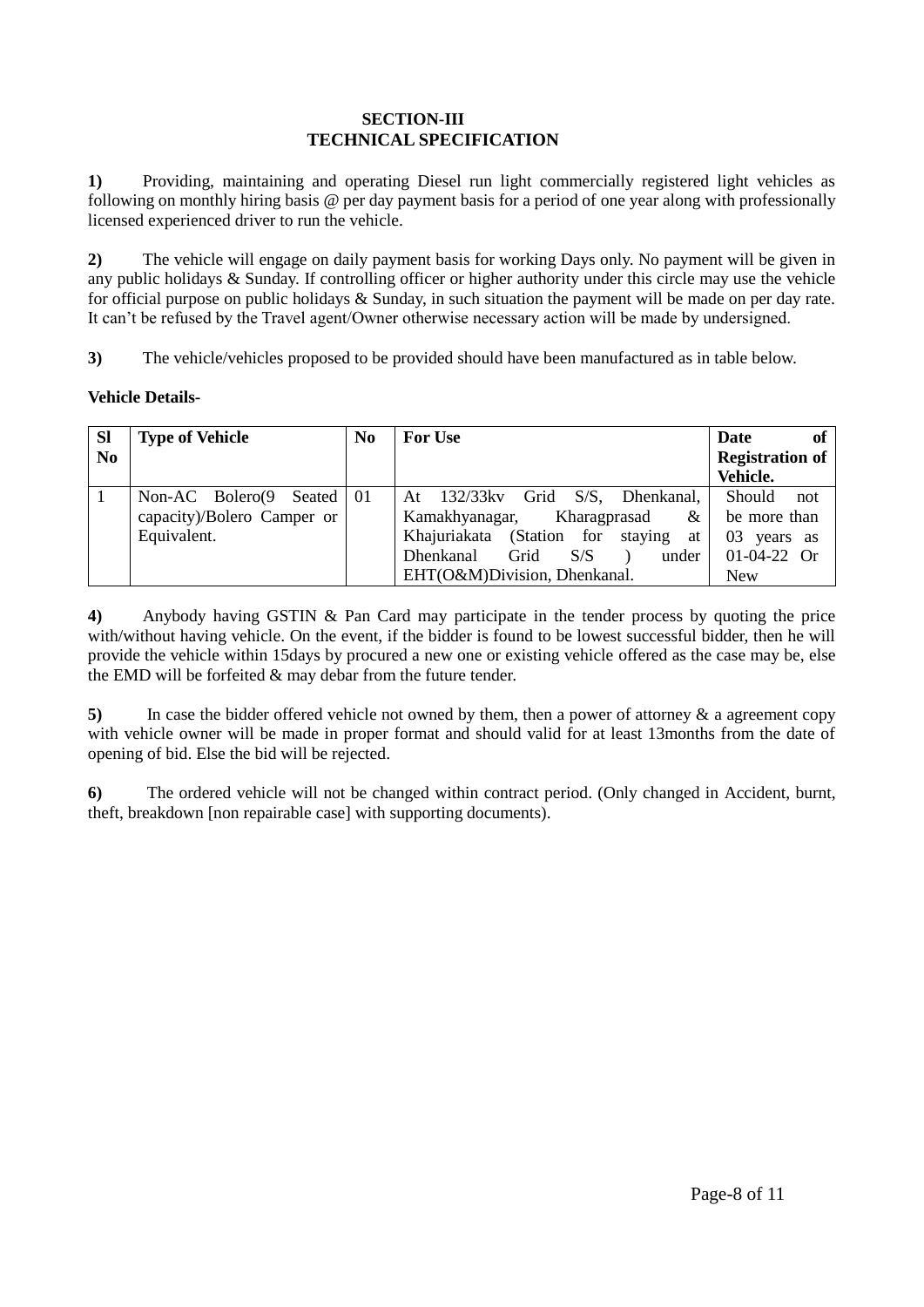#### **SECTION-III TECHNICAL SPECIFICATION**

**1)** Providing, maintaining and operating Diesel run light commercially registered light vehicles as following on monthly hiring basis @ per day payment basis for a period of one year along with professionally licensed experienced driver to run the vehicle.

**2)** The vehicle will engage on daily payment basis for working Days only. No payment will be given in any public holidays & Sunday. If controlling officer or higher authority under this circle may use the vehicle for official purpose on public holidays & Sunday, in such situation the payment will be made on per day rate. It can't be refused by the Travel agent/Owner otherwise necessary action will be made by undersigned.

**3)** The vehicle/vehicles proposed to be provided should have been manufactured as in table below.

### **Vehicle Details-**

| <b>SI</b>      | <b>Type of Vehicle</b>       | N <sub>0</sub> | <b>For Use</b>                                  | of<br><b>Date</b>      |
|----------------|------------------------------|----------------|-------------------------------------------------|------------------------|
| N <sub>0</sub> |                              |                |                                                 | <b>Registration of</b> |
|                |                              |                |                                                 | Vehicle.               |
|                | Non-AC Bolero $(9$<br>Seated | 01             | $132/33$ kv<br>Grid<br>S/S.<br>Dhenkanal.<br>At | Should<br>not          |
|                | capacity)/Bolero Camper or   |                | Kamakhyanagar,<br>&<br>Kharagprasad             | be more than           |
|                | Equivalent.                  |                | Khajuriakata (Station for staying<br>at         | 03<br>years as         |
|                |                              |                | <b>Dhenkanal</b><br>Grid<br>S/S<br>under        | $01-04-22$ Or          |
|                |                              |                | EHT(O&M)Division, Dhenkanal.                    | <b>New</b>             |

**4)** Anybody having GSTIN & Pan Card may participate in the tender process by quoting the price with/without having vehicle. On the event, if the bidder is found to be lowest successful bidder, then he will provide the vehicle within 15days by procured a new one or existing vehicle offered as the case may be, else the EMD will be forfeited & may debar from the future tender.

**5)** In case the bidder offered vehicle not owned by them, then a power of attorney & a agreement copy with vehicle owner will be made in proper format and should valid for at least 13months from the date of opening of bid. Else the bid will be rejected.

**6)** The ordered vehicle will not be changed within contract period. (Only changed in Accident, burnt, theft, breakdown [non repairable case] with supporting documents).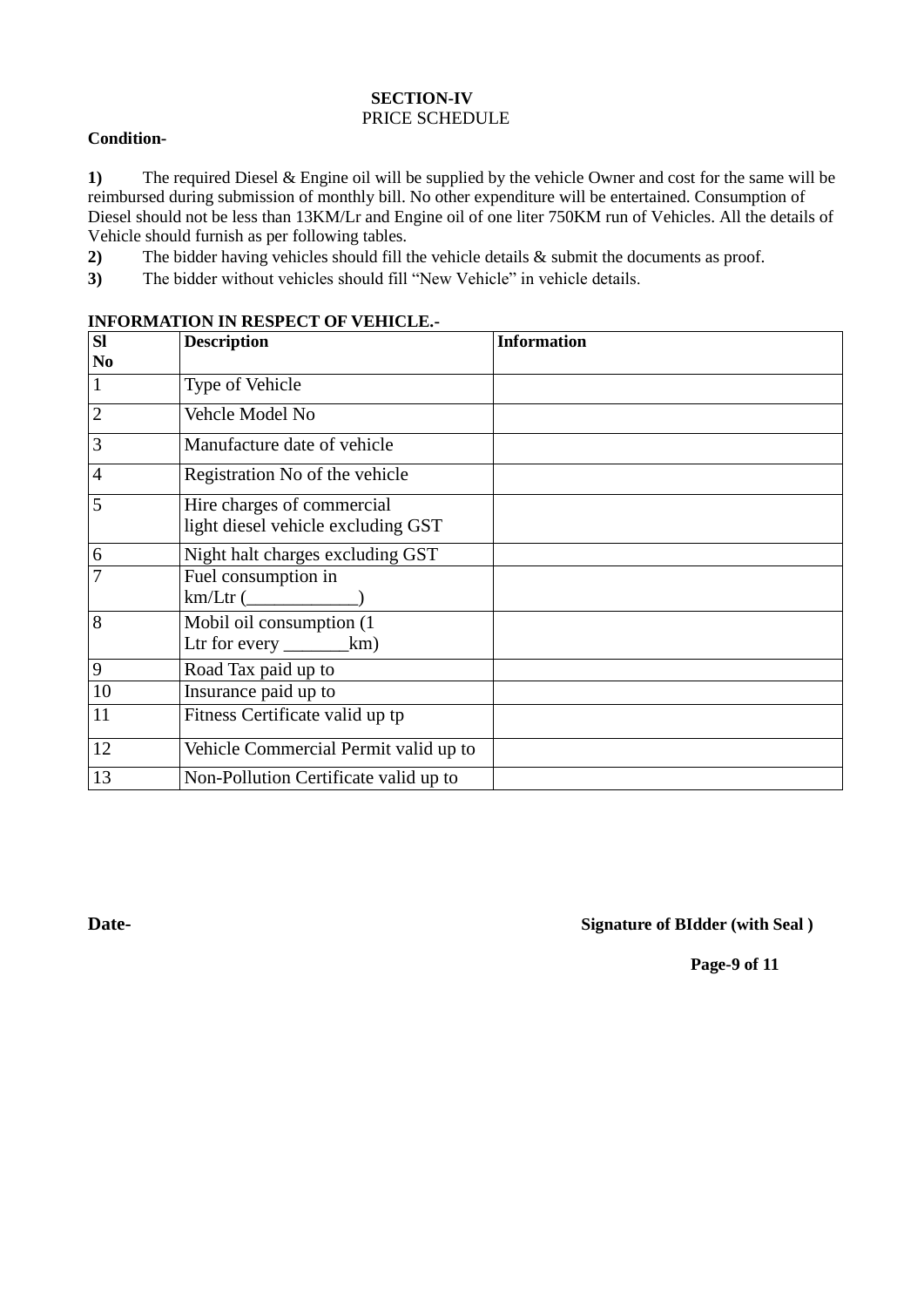#### **SECTION-IV**  PRICE SCHEDULE

#### **Condition-**

**1)** The required Diesel & Engine oil will be supplied by the vehicle Owner and cost for the same will be reimbursed during submission of monthly bill. No other expenditure will be entertained. Consumption of Diesel should not be less than 13KM/Lr and Engine oil of one liter 750KM run of Vehicles. All the details of Vehicle should furnish as per following tables.

**2)** The bidder having vehicles should fill the vehicle details & submit the documents as proof.

**3)** The bidder without vehicles should fill "New Vehicle" in vehicle details.

# **Sl No Description** Information 1 Type of Vehicle 2 Vehcle Model No 3 Manufacture date of vehicle 4 Registration No of the vehicle 5 Hire charges of commercial light diesel vehicle excluding GST 6 Night halt charges excluding GST<br>
T Fuel consumption in Fuel consumption in km/Ltr (\_\_\_\_\_\_\_\_\_\_\_\_) 8 Mobil oil consumption (1 Ltr for every \_\_\_\_\_\_\_\_\_\_km) 9 Road Tax paid up to 10 Insurance paid up to 11 Fitness Certificate valid up tp 12 Vehicle Commercial Permit valid up to 13 Non-Pollution Certificate valid up to

#### **INFORMATION IN RESPECT OF VEHICLE.-**

**Date- Signature of BIdder (with Seal )**

**Page-9 of 11**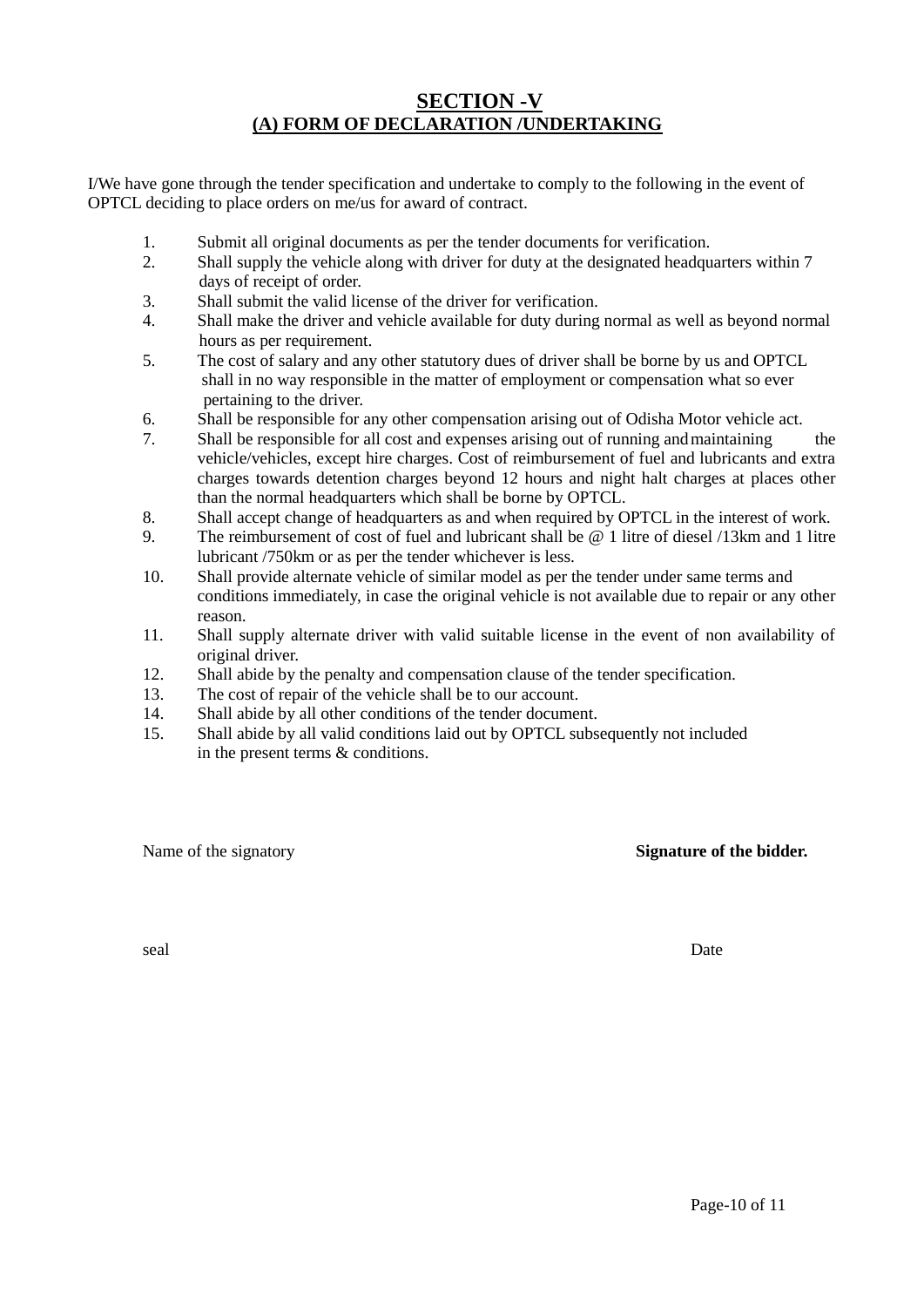## **SECTION -V (A) FORM OF DECLARATION /UNDERTAKING**

I/We have gone through the tender specification and undertake to comply to the following in the event of OPTCL deciding to place orders on me/us for award of contract.

- 1. Submit all original documents as per the tender documents for verification.
- 2. Shall supply the vehicle along with driver for duty at the designated headquarters within 7 days of receipt of order.
- 3. Shall submit the valid license of the driver for verification.
- 4. Shall make the driver and vehicle available for duty during normal as well as beyond normal hours as per requirement.
- 5. The cost of salary and any other statutory dues of driver shall be borne by us and OPTCL shall in no way responsible in the matter of employment or compensation what so ever pertaining to the driver.
- 6. Shall be responsible for any other compensation arising out of Odisha Motor vehicle act.
- 7. Shall be responsible for all cost and expenses arising out of running andmaintaining the vehicle/vehicles, except hire charges. Cost of reimbursement of fuel and lubricants and extra charges towards detention charges beyond 12 hours and night halt charges at places other than the normal headquarters which shall be borne by OPTCL.
- 8. Shall accept change of headquarters as and when required by OPTCL in the interest of work.
- 9. The reimbursement of cost of fuel and lubricant shall be @ 1 litre of diesel /13km and 1 litre lubricant /750km or as per the tender whichever is less.
- 10. Shall provide alternate vehicle of similar model as per the tender under same terms and conditions immediately, in case the original vehicle is not available due to repair or any other reason.
- 11. Shall supply alternate driver with valid suitable license in the event of non availability of original driver.
- 12. Shall abide by the penalty and compensation clause of the tender specification.
- 13. The cost of repair of the vehicle shall be to our account.
- 14. Shall abide by all other conditions of the tender document.
- 15. Shall abide by all valid conditions laid out by OPTCL subsequently not included in the present terms & conditions.

#### Name of the signatory **Signature of the bidder.**

seal Date